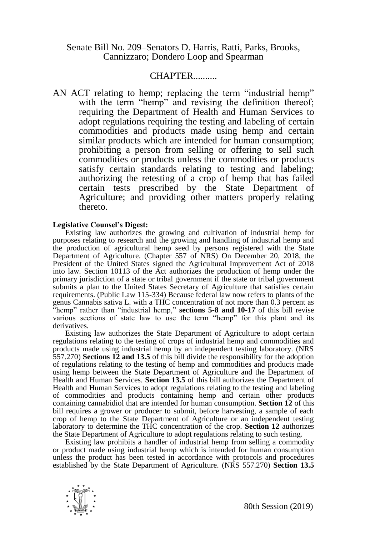Senate Bill No. 209–Senators D. Harris, Ratti, Parks, Brooks, Cannizzaro; Dondero Loop and Spearman

## CHAPTER..........

AN ACT relating to hemp; replacing the term "industrial hemp" with the term "hemp" and revising the definition thereof; requiring the Department of Health and Human Services to adopt regulations requiring the testing and labeling of certain commodities and products made using hemp and certain similar products which are intended for human consumption; prohibiting a person from selling or offering to sell such commodities or products unless the commodities or products satisfy certain standards relating to testing and labeling; authorizing the retesting of a crop of hemp that has failed certain tests prescribed by the State Department of Agriculture; and providing other matters properly relating thereto.

## **Legislative Counsel's Digest:**

Existing law authorizes the growing and cultivation of industrial hemp for purposes relating to research and the growing and handling of industrial hemp and the production of agricultural hemp seed by persons registered with the State Department of Agriculture. (Chapter 557 of NRS) On December 20, 2018, the President of the United States signed the Agricultural Improvement Act of 2018 into law. Section 10113 of the Act authorizes the production of hemp under the primary jurisdiction of a state or tribal government if the state or tribal government submits a plan to the United States Secretary of Agriculture that satisfies certain requirements. (Public Law 115-334) Because federal law now refers to plants of the genus Cannabis sativa L. with a THC concentration of not more than 0.3 percent as "hemp" rather than "industrial hemp," **sections 5-8 and 10-17** of this bill revise various sections of state law to use the term "hemp" for this plant and its derivatives.

Existing law authorizes the State Department of Agriculture to adopt certain regulations relating to the testing of crops of industrial hemp and commodities and products made using industrial hemp by an independent testing laboratory. (NRS 557.270) **Sections 12 and 13.5** of this bill divide the responsibility for the adoption of regulations relating to the testing of hemp and commodities and products made using hemp between the State Department of Agriculture and the Department of Health and Human Services. **Section 13.5** of this bill authorizes the Department of Health and Human Services to adopt regulations relating to the testing and labeling of commodities and products containing hemp and certain other products containing cannabidiol that are intended for human consumption. **Section 12** of this bill requires a grower or producer to submit, before harvesting, a sample of each crop of hemp to the State Department of Agriculture or an independent testing laboratory to determine the THC concentration of the crop. **Section 12** authorizes the State Department of Agriculture to adopt regulations relating to such testing.

Existing law prohibits a handler of industrial hemp from selling a commodity or product made using industrial hemp which is intended for human consumption unless the product has been tested in accordance with protocols and procedures established by the State Department of Agriculture. (NRS 557.270) **Section 13.5**

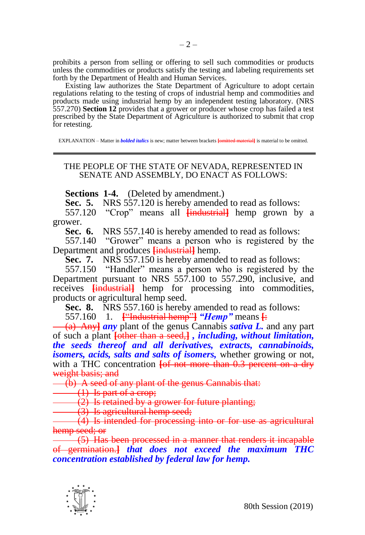prohibits a person from selling or offering to sell such commodities or products unless the commodities or products satisfy the testing and labeling requirements set forth by the Department of Health and Human Services.

Existing law authorizes the State Department of Agriculture to adopt certain regulations relating to the testing of crops of industrial hemp and commodities and products made using industrial hemp by an independent testing laboratory. (NRS 557.270) **Section 12** provides that a grower or producer whose crop has failed a test prescribed by the State Department of Agriculture is authorized to submit that crop for retesting.

EXPLANATION – Matter in *bolded italics* is new; matter between brackets **[**omitted material**]** is material to be omitted.

## THE PEOPLE OF THE STATE OF NEVADA, REPRESENTED IN SENATE AND ASSEMBLY, DO ENACT AS FOLLOWS:

**Sections 1-4.** (Deleted by amendment.)

**Sec. 5.** NRS 557.120 is hereby amended to read as follows:

557.120 "Crop" means all **[**industrial**]** hemp grown by a grower.

**Sec. 6.** NRS 557.140 is hereby amended to read as follows:

557.140 "Grower" means a person who is registered by the Department and produces **[**industrial**]** hemp.

**Sec. 7.** NRS 557.150 is hereby amended to read as follows:

557.150 "Handler" means a person who is registered by the Department pursuant to NRS 557.100 to 557.290, inclusive, and receives **[**industrial**]** hemp for processing into commodities, products or agricultural hemp seed.

**Sec. 8.** NRS 557.160 is hereby amended to read as follows:

557.160 1. **[**"Industrial hemp"**]** *"Hemp"* means **[**:

(a) Any**]** *any* plant of the genus Cannabis *sativa L.* and any part of such a plant **[**other than a seed,**]** *, including, without limitation, the seeds thereof and all derivatives, extracts, cannabinoids, isomers, acids, salts and salts of isomers,* whether growing or not, with a THC concentration **[of not more than 0.3 percent on a dry** weight basis; and

(b) A seed of any plant of the genus Cannabis that:

(1) Is part of a crop;

 $(2)$  Is retained by a grower for future planting;

 $\overrightarrow{(3)}$  Is agricultural hemp seed;

(4) Is intended for processing into or for use as agricultural hemp seed; or

(5) Has been processed in a manner that renders it incapable of germination.**]** *that does not exceed the maximum THC concentration established by federal law for hemp.*

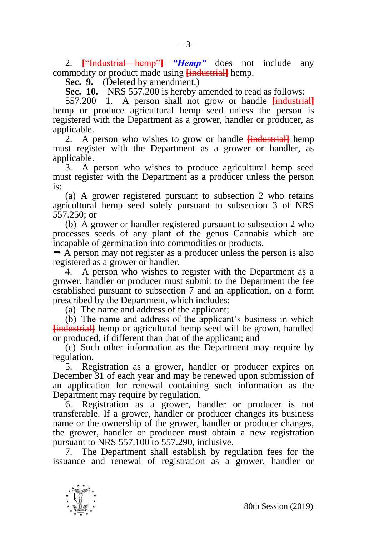2. **[**"Industrial hemp"**]** *"Hemp"* does not include any commodity or product made using **[**industrial**]** hemp.

**Sec. 9.** (Deleted by amendment.)

**Sec. 10.** NRS 557.200 is hereby amended to read as follows:

557.200 1. A person shall not grow or handle **[**industrial**]** hemp or produce agricultural hemp seed unless the person is registered with the Department as a grower, handler or producer, as applicable.

2. A person who wishes to grow or handle **[**industrial**]** hemp must register with the Department as a grower or handler, as applicable.

3. A person who wishes to produce agricultural hemp seed must register with the Department as a producer unless the person is:

(a) A grower registered pursuant to subsection 2 who retains agricultural hemp seed solely pursuant to subsection 3 of NRS 557.250; or

(b) A grower or handler registered pursuant to subsection 2 who processes seeds of any plant of the genus Cannabis which are incapable of germination into commodities or products.

 $\rightarrow$  A person may not register as a producer unless the person is also registered as a grower or handler.

4. A person who wishes to register with the Department as a grower, handler or producer must submit to the Department the fee established pursuant to subsection 7 and an application, on a form prescribed by the Department, which includes:

(a) The name and address of the applicant;

(b) The name and address of the applicant's business in which **[**industrial**]** hemp or agricultural hemp seed will be grown, handled or produced, if different than that of the applicant; and

(c) Such other information as the Department may require by regulation.

5. Registration as a grower, handler or producer expires on December 31 of each year and may be renewed upon submission of an application for renewal containing such information as the Department may require by regulation.

6. Registration as a grower, handler or producer is not transferable. If a grower, handler or producer changes its business name or the ownership of the grower, handler or producer changes, the grower, handler or producer must obtain a new registration pursuant to NRS 557.100 to 557.290, inclusive.

7. The Department shall establish by regulation fees for the issuance and renewal of registration as a grower, handler or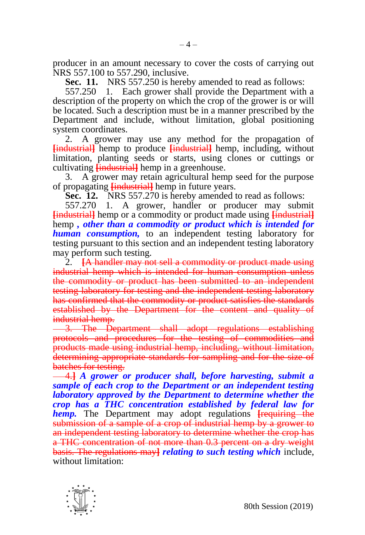producer in an amount necessary to cover the costs of carrying out NRS 557.100 to 557.290, inclusive.

**Sec. 11.** NRS 557.250 is hereby amended to read as follows:

557.250 1. Each grower shall provide the Department with a description of the property on which the crop of the grower is or will be located. Such a description must be in a manner prescribed by the Department and include, without limitation, global positioning system coordinates.

2. A grower may use any method for the propagation of **[**industrial**]** hemp to produce **[**industrial**]** hemp, including, without limitation, planting seeds or starts, using clones or cuttings or cultivating **[**industrial**]** hemp in a greenhouse.

3. A grower may retain agricultural hemp seed for the purpose of propagating **[**industrial**]** hemp in future years.

**Sec. 12.** NRS 557.270 is hereby amended to read as follows:

557.270 1. A grower, handler or producer may submit **[**industrial**]** hemp or a commodity or product made using **[**industrial**]** hemp *, other than a commodity or product which is intended for human consumption,* to an independent testing laboratory for testing pursuant to this section and an independent testing laboratory may perform such testing.

2. **[**A handler may not sell a commodity or product made using industrial hemp which is intended for human consumption unless the commodity or product has been submitted to an independent testing laboratory for testing and the independent testing laboratory has confirmed that the commodity or product satisfies the standards established by the Department for the content and quality of industrial hemp.

3. The Department shall adopt regulations establishing protocols and procedures for the testing of commodities and products made using industrial hemp, including, without limitation, determining appropriate standards for sampling and for the size of batches for testing.

4.**]** *A grower or producer shall, before harvesting, submit a sample of each crop to the Department or an independent testing laboratory approved by the Department to determine whether the crop has a THC concentration established by federal law for hemp.* The Department may adopt regulations **[**requiring the submission of a sample of a crop of industrial hemp by a grower to an independent testing laboratory to determine whether the crop has a THC concentration of not more than 0.3 percent on a dry weight basis. The regulations may**]** *relating to such testing which* include, without limitation:

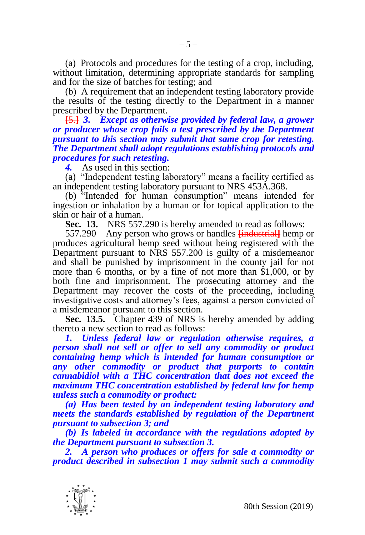(a) Protocols and procedures for the testing of a crop, including, without limitation, determining appropriate standards for sampling and for the size of batches for testing; and

(b) A requirement that an independent testing laboratory provide the results of the testing directly to the Department in a manner prescribed by the Department.

**[**5.**]** *3. Except as otherwise provided by federal law, a grower or producer whose crop fails a test prescribed by the Department pursuant to this section may submit that same crop for retesting. The Department shall adopt regulations establishing protocols and procedures for such retesting.* 

*4.* As used in this section:

(a) "Independent testing laboratory" means a facility certified as an independent testing laboratory pursuant to NRS 453A.368.

(b) "Intended for human consumption" means intended for ingestion or inhalation by a human or for topical application to the skin or hair of a human.

**Sec. 13.** NRS 557.290 is hereby amended to read as follows:

557.290 Any person who grows or handles **[**industrial**]** hemp or produces agricultural hemp seed without being registered with the Department pursuant to NRS 557.200 is guilty of a misdemeanor and shall be punished by imprisonment in the county jail for not more than 6 months, or by a fine of not more than \$1,000, or by both fine and imprisonment. The prosecuting attorney and the Department may recover the costs of the proceeding, including investigative costs and attorney's fees, against a person convicted of a misdemeanor pursuant to this section.

**Sec. 13.5.** Chapter 439 of NRS is hereby amended by adding thereto a new section to read as follows:

*1. Unless federal law or regulation otherwise requires, a person shall not sell or offer to sell any commodity or product containing hemp which is intended for human consumption or any other commodity or product that purports to contain cannabidiol with a THC concentration that does not exceed the maximum THC concentration established by federal law for hemp unless such a commodity or product:*

*(a) Has been tested by an independent testing laboratory and meets the standards established by regulation of the Department pursuant to subsection 3; and*

*(b) Is labeled in accordance with the regulations adopted by the Department pursuant to subsection 3.* 

*2. A person who produces or offers for sale a commodity or product described in subsection 1 may submit such a commodity* 

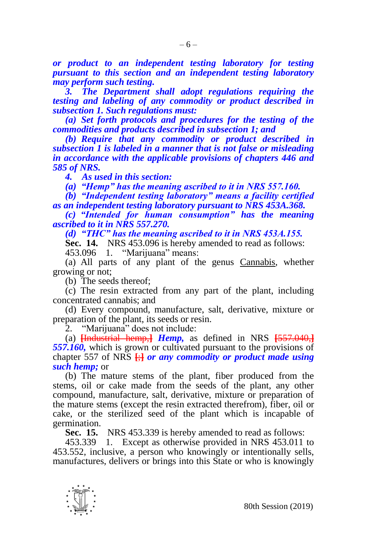*or product to an independent testing laboratory for testing pursuant to this section and an independent testing laboratory may perform such testing.* 

*3. The Department shall adopt regulations requiring the testing and labeling of any commodity or product described in subsection 1. Such regulations must:*

*(a) Set forth protocols and procedures for the testing of the commodities and products described in subsection 1; and*

*(b) Require that any commodity or product described in subsection 1 is labeled in a manner that is not false or misleading in accordance with the applicable provisions of chapters 446 and 585 of NRS.* 

*4. As used in this section:*

*(a) "Hemp" has the meaning ascribed to it in NRS 557.160.* 

*(b) "Independent testing laboratory" means a facility certified as an independent testing laboratory pursuant to NRS 453A.368.*

*(c) "Intended for human consumption" has the meaning ascribed to it in NRS 557.270.*

*(d) "THC" has the meaning ascribed to it in NRS 453A.155.*

**Sec. 14.** NRS 453.096 is hereby amended to read as follows: 453.096 1. "Marijuana" means: "Marijuana" means:

(a) All parts of any plant of the genus Cannabis, whether growing or not;

(b) The seeds thereof;

(c) The resin extracted from any part of the plant, including concentrated cannabis; and

(d) Every compound, manufacture, salt, derivative, mixture or preparation of the plant, its seeds or resin.

2. "Marijuana" does not include:

(a) **[**Industrial hemp,**]** *Hemp,* as defined in NRS **[**557.040,**]** *557.160,* which is grown or cultivated pursuant to the provisions of chapter 557 of NRS **[**;**]** *or any commodity or product made using such hemp;* or

(b) The mature stems of the plant, fiber produced from the stems, oil or cake made from the seeds of the plant, any other compound, manufacture, salt, derivative, mixture or preparation of the mature stems (except the resin extracted therefrom), fiber, oil or cake, or the sterilized seed of the plant which is incapable of germination.

**Sec. 15.** NRS 453.339 is hereby amended to read as follows:

453.339 1. Except as otherwise provided in NRS 453.011 to 453.552, inclusive, a person who knowingly or intentionally sells, manufactures, delivers or brings into this State or who is knowingly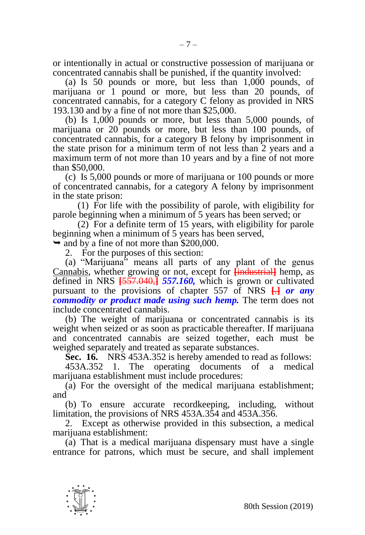or intentionally in actual or constructive possession of marijuana or concentrated cannabis shall be punished, if the quantity involved:

(a) Is 50 pounds or more, but less than 1,000 pounds, of marijuana or 1 pound or more, but less than 20 pounds, of concentrated cannabis, for a category C felony as provided in NRS 193.130 and by a fine of not more than \$25,000.

(b) Is 1,000 pounds or more, but less than 5,000 pounds, of marijuana or 20 pounds or more, but less than 100 pounds, of concentrated cannabis, for a category B felony by imprisonment in the state prison for a minimum term of not less than 2 years and a maximum term of not more than 10 years and by a fine of not more than \$50,000.

(c) Is 5,000 pounds or more of marijuana or 100 pounds or more of concentrated cannabis, for a category A felony by imprisonment in the state prison:

(1) For life with the possibility of parole, with eligibility for parole beginning when a minimum of 5 years has been served; or

(2) For a definite term of 15 years, with eligibility for parole beginning when a minimum of 5 years has been served,

 $\rightarrow$  and by a fine of not more than \$200,000.

2. For the purposes of this section:

(a) "Marijuana" means all parts of any plant of the genus Cannabis, whether growing or not, except for **[**industrial**]** hemp, as defined in NRS **[**557.040,**]** *557.160,* which is grown or cultivated pursuant to the provisions of chapter 557 of NRS **[**.**]** *or any commodity or product made using such hemp.* The term does not include concentrated cannabis.

(b) The weight of marijuana or concentrated cannabis is its weight when seized or as soon as practicable thereafter. If marijuana and concentrated cannabis are seized together, each must be weighed separately and treated as separate substances.

**Sec. 16.** NRS 453A.352 is hereby amended to read as follows:

453A.352 1. The operating documents of a medical marijuana establishment must include procedures:

(a) For the oversight of the medical marijuana establishment; and

(b) To ensure accurate recordkeeping, including, without limitation, the provisions of NRS 453A.354 and 453A.356.

2. Except as otherwise provided in this subsection, a medical marijuana establishment:

(a) That is a medical marijuana dispensary must have a single entrance for patrons, which must be secure, and shall implement

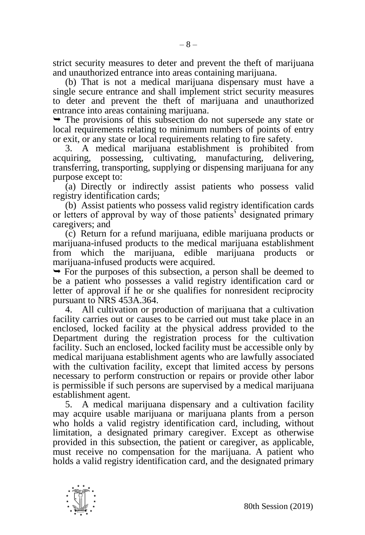strict security measures to deter and prevent the theft of marijuana and unauthorized entrance into areas containing marijuana.

(b) That is not a medical marijuana dispensary must have a single secure entrance and shall implement strict security measures to deter and prevent the theft of marijuana and unauthorized entrance into areas containing marijuana.

 $\rightarrow$  The provisions of this subsection do not supersede any state or local requirements relating to minimum numbers of points of entry or exit, or any state or local requirements relating to fire safety.

3. A medical marijuana establishment is prohibited from acquiring, possessing, cultivating, manufacturing, delivering, transferring, transporting, supplying or dispensing marijuana for any purpose except to:

(a) Directly or indirectly assist patients who possess valid registry identification cards;

(b) Assist patients who possess valid registry identification cards or letters of approval by way of those patients' designated primary caregivers; and

(c) Return for a refund marijuana, edible marijuana products or marijuana-infused products to the medical marijuana establishment from which the marijuana, edible marijuana products or marijuana-infused products were acquired.

 $\rightarrow$  For the purposes of this subsection, a person shall be deemed to be a patient who possesses a valid registry identification card or letter of approval if he or she qualifies for nonresident reciprocity pursuant to NRS 453A.364.

4. All cultivation or production of marijuana that a cultivation facility carries out or causes to be carried out must take place in an enclosed, locked facility at the physical address provided to the Department during the registration process for the cultivation facility. Such an enclosed, locked facility must be accessible only by medical marijuana establishment agents who are lawfully associated with the cultivation facility, except that limited access by persons necessary to perform construction or repairs or provide other labor is permissible if such persons are supervised by a medical marijuana establishment agent.

5. A medical marijuana dispensary and a cultivation facility may acquire usable marijuana or marijuana plants from a person who holds a valid registry identification card, including, without limitation, a designated primary caregiver. Except as otherwise provided in this subsection, the patient or caregiver, as applicable, must receive no compensation for the marijuana. A patient who holds a valid registry identification card, and the designated primary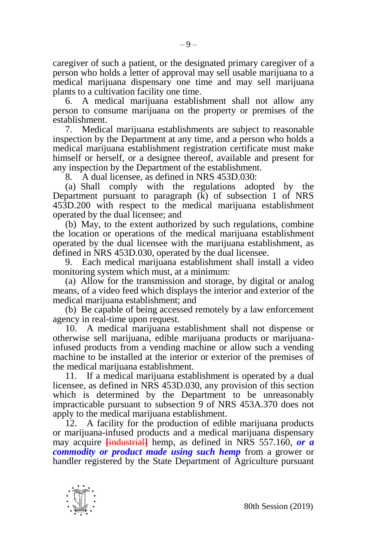caregiver of such a patient, or the designated primary caregiver of a person who holds a letter of approval may sell usable marijuana to a medical marijuana dispensary one time and may sell marijuana plants to a cultivation facility one time.

6. A medical marijuana establishment shall not allow any person to consume marijuana on the property or premises of the establishment.

7. Medical marijuana establishments are subject to reasonable inspection by the Department at any time, and a person who holds a medical marijuana establishment registration certificate must make himself or herself, or a designee thereof, available and present for any inspection by the Department of the establishment.

8. A dual licensee, as defined in NRS 453D.030:

(a) Shall comply with the regulations adopted by the Department pursuant to paragraph  $(k)$  of subsection 1 of NRS 453D.200 with respect to the medical marijuana establishment operated by the dual licensee; and

(b) May, to the extent authorized by such regulations, combine the location or operations of the medical marijuana establishment operated by the dual licensee with the marijuana establishment, as defined in NRS 453D.030, operated by the dual licensee.

9. Each medical marijuana establishment shall install a video monitoring system which must, at a minimum:

(a) Allow for the transmission and storage, by digital or analog means, of a video feed which displays the interior and exterior of the medical marijuana establishment; and

(b) Be capable of being accessed remotely by a law enforcement agency in real-time upon request.

10. A medical marijuana establishment shall not dispense or otherwise sell marijuana, edible marijuana products or marijuanainfused products from a vending machine or allow such a vending machine to be installed at the interior or exterior of the premises of the medical marijuana establishment.

11. If a medical marijuana establishment is operated by a dual licensee, as defined in NRS 453D.030, any provision of this section which is determined by the Department to be unreasonably impracticable pursuant to subsection 9 of NRS 453A.370 does not apply to the medical marijuana establishment.

12. A facility for the production of edible marijuana products or marijuana-infused products and a medical marijuana dispensary may acquire **[**industrial**]** hemp, as defined in NRS 557.160, *or a commodity or product made using such hemp* from a grower or handler registered by the State Department of Agriculture pursuant

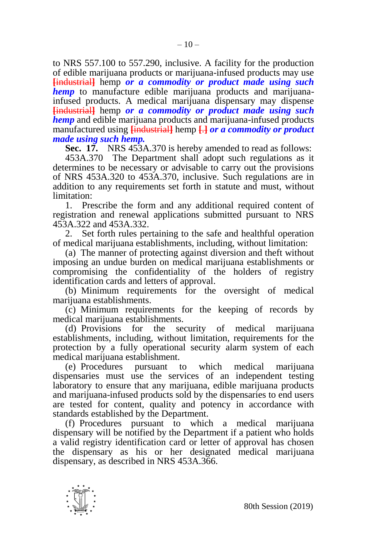to NRS 557.100 to 557.290, inclusive. A facility for the production of edible marijuana products or marijuana-infused products may use **[**industrial**]** hemp *or a commodity or product made using such hemp* to manufacture edible marijuana products and marijuanainfused products. A medical marijuana dispensary may dispense **[**industrial**]** hemp *or a commodity or product made using such hemp* and edible marijuana products and marijuana-infused products manufactured using **[**industrial**]** hemp **[**.**]** *or a commodity or product made using such hemp.*

**Sec. 17.** NRS 453A.370 is hereby amended to read as follows:

453A.370 The Department shall adopt such regulations as it determines to be necessary or advisable to carry out the provisions of NRS 453A.320 to 453A.370, inclusive. Such regulations are in addition to any requirements set forth in statute and must, without limitation:

1. Prescribe the form and any additional required content of registration and renewal applications submitted pursuant to NRS 453A.322 and 453A.332.

2. Set forth rules pertaining to the safe and healthful operation of medical marijuana establishments, including, without limitation:

(a) The manner of protecting against diversion and theft without imposing an undue burden on medical marijuana establishments or compromising the confidentiality of the holders of registry identification cards and letters of approval.

(b) Minimum requirements for the oversight of medical marijuana establishments.

(c) Minimum requirements for the keeping of records by medical marijuana establishments.

(d) Provisions for the security of medical marijuana establishments, including, without limitation, requirements for the protection by a fully operational security alarm system of each

medical marijuana establishment.<br>(e) Procedures pursuant pursuant to which medical marijuana dispensaries must use the services of an independent testing laboratory to ensure that any marijuana, edible marijuana products and marijuana-infused products sold by the dispensaries to end users are tested for content, quality and potency in accordance with standards established by the Department.

(f) Procedures pursuant to which a medical marijuana dispensary will be notified by the Department if a patient who holds a valid registry identification card or letter of approval has chosen the dispensary as his or her designated medical marijuana dispensary, as described in NRS 453A.366.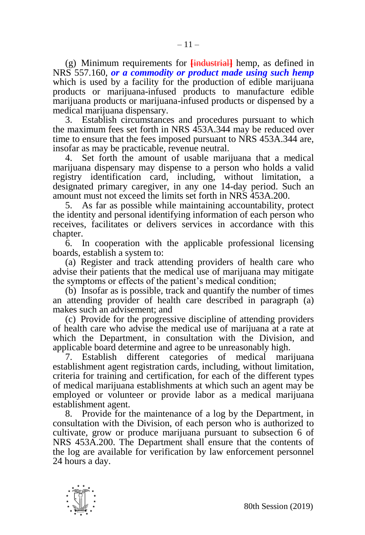(g) Minimum requirements for **[**industrial**]** hemp, as defined in NRS 557.160, *or a commodity or product made using such hemp*  which is used by a facility for the production of edible marijuana products or marijuana-infused products to manufacture edible marijuana products or marijuana-infused products or dispensed by a medical marijuana dispensary.

3. Establish circumstances and procedures pursuant to which the maximum fees set forth in NRS 453A.344 may be reduced over time to ensure that the fees imposed pursuant to NRS 453A.344 are, insofar as may be practicable, revenue neutral.

4. Set forth the amount of usable marijuana that a medical marijuana dispensary may dispense to a person who holds a valid registry identification card, including, without limitation, a designated primary caregiver, in any one 14-day period. Such an amount must not exceed the limits set forth in NRS 453A.200.

5. As far as possible while maintaining accountability, protect the identity and personal identifying information of each person who receives, facilitates or delivers services in accordance with this chapter.

6. In cooperation with the applicable professional licensing boards, establish a system to:

(a) Register and track attending providers of health care who advise their patients that the medical use of marijuana may mitigate the symptoms or effects of the patient's medical condition;

(b) Insofar as is possible, track and quantify the number of times an attending provider of health care described in paragraph (a) makes such an advisement; and

(c) Provide for the progressive discipline of attending providers of health care who advise the medical use of marijuana at a rate at which the Department, in consultation with the Division, and applicable board determine and agree to be unreasonably high.

7. Establish different categories of medical marijuana establishment agent registration cards, including, without limitation, criteria for training and certification, for each of the different types of medical marijuana establishments at which such an agent may be employed or volunteer or provide labor as a medical marijuana establishment agent.

8. Provide for the maintenance of a log by the Department, in consultation with the Division, of each person who is authorized to cultivate, grow or produce marijuana pursuant to subsection 6 of NRS 453A.200. The Department shall ensure that the contents of the log are available for verification by law enforcement personnel 24 hours a day.